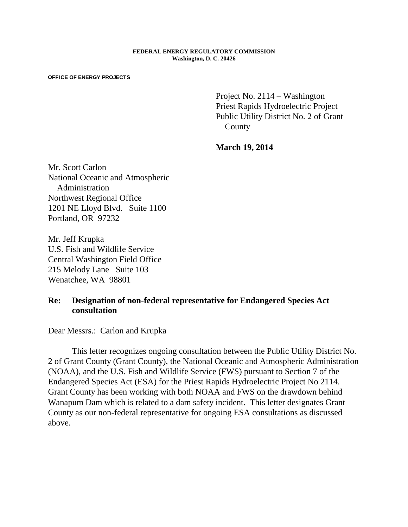## **FEDERAL ENERGY REGULATORY COMMISSION Washington, D. C. 20426**

## **OFFICE OF ENERGY PROJECTS**

Project No. 2114 – Washington Priest Rapids Hydroelectric Project Public Utility District No. 2 of Grant County

**March 19, 2014**

Mr. Scott Carlon National Oceanic and Atmospheric Administration Northwest Regional Office 1201 NE Lloyd Blvd. Suite 1100 Portland, OR 97232

Mr. Jeff Krupka U.S. Fish and Wildlife Service Central Washington Field Office 215 Melody Lane Suite 103 Wenatchee, WA 98801

## **Re: Designation of non-federal representative for Endangered Species Act consultation**

Dear Messrs.: Carlon and Krupka

This letter recognizes ongoing consultation between the Public Utility District No. 2 of Grant County (Grant County), the National Oceanic and Atmospheric Administration (NOAA), and the U.S. Fish and Wildlife Service (FWS) pursuant to Section 7 of the Endangered Species Act (ESA) for the Priest Rapids Hydroelectric Project No 2114. Grant County has been working with both NOAA and FWS on the drawdown behind Wanapum Dam which is related to a dam safety incident. This letter designates Grant County as our non-federal representative for ongoing ESA consultations as discussed above.